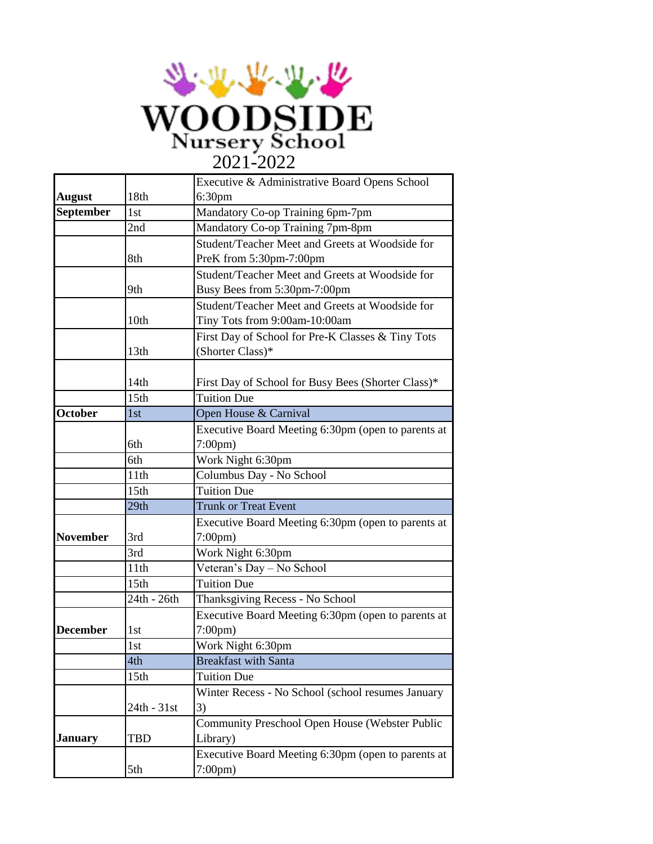

|                 |                  | Executive & Administrative Board Opens School      |
|-----------------|------------------|----------------------------------------------------|
| <b>August</b>   | 18th             | 6:30 <sub>pm</sub>                                 |
| September       | 1st              | Mandatory Co-op Training 6pm-7pm                   |
|                 | 2nd              | Mandatory Co-op Training 7pm-8pm                   |
|                 |                  | Student/Teacher Meet and Greets at Woodside for    |
|                 | 8th              | PreK from 5:30pm-7:00pm                            |
|                 |                  | Student/Teacher Meet and Greets at Woodside for    |
|                 | 9th              | Busy Bees from 5:30pm-7:00pm                       |
|                 |                  | Student/Teacher Meet and Greets at Woodside for    |
|                 | 10th             | Tiny Tots from 9:00am-10:00am                      |
|                 |                  | First Day of School for Pre-K Classes & Tiny Tots  |
|                 | 13th             | (Shorter Class)*                                   |
|                 |                  |                                                    |
|                 | 14th             | First Day of School for Busy Bees (Shorter Class)* |
|                 | 15th             | <b>Tuition Due</b>                                 |
| <b>October</b>  | 1st              | Open House & Carnival                              |
|                 |                  | Executive Board Meeting 6:30pm (open to parents at |
|                 | 6th              | $7:00 \text{pm}$                                   |
|                 | 6th              | Work Night 6:30pm                                  |
|                 | 11th             | Columbus Day - No School                           |
|                 | 15th             | <b>Tuition Due</b>                                 |
|                 | 29th             | <b>Trunk or Treat Event</b>                        |
|                 |                  | Executive Board Meeting 6:30pm (open to parents at |
| <b>November</b> | 3rd              | $7:00 \text{pm}$                                   |
|                 | 3rd              | Work Night 6:30pm                                  |
|                 | 11th             | Veteran's Day - No School                          |
|                 | 15th             | <b>Tuition Due</b>                                 |
|                 | 24th - 26th      | Thanksgiving Recess - No School                    |
|                 |                  | Executive Board Meeting 6:30pm (open to parents at |
| <b>December</b> | 1st              | $7:00 \text{pm}$                                   |
|                 | 1st              | Work Night 6:30pm                                  |
|                 | 4th              | <b>Breakfast with Santa</b>                        |
|                 | 15 <sub>th</sub> | <b>Tuition Due</b>                                 |
|                 |                  | Winter Recess - No School (school resumes January  |
|                 | 24th - 31st      | 3)                                                 |
|                 |                  | Community Preschool Open House (Webster Public     |
| January         | <b>TBD</b>       | Library)                                           |
|                 |                  | Executive Board Meeting 6:30pm (open to parents at |
|                 | 5th              | $7:00 \text{pm}$                                   |